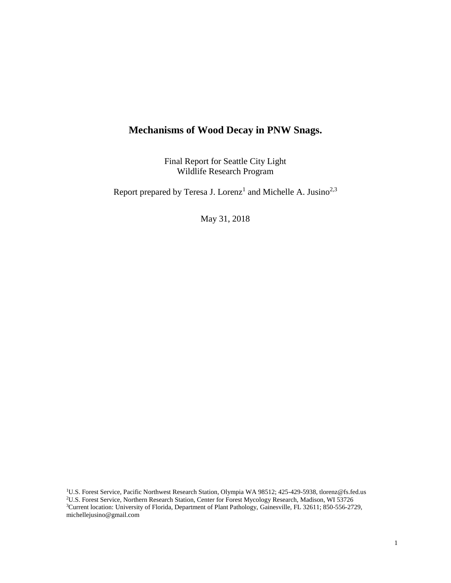# **Mechanisms of Wood Decay in PNW Snags.**

Final Report for Seattle City Light Wildlife Research Program

Report prepared by Teresa J. Lorenz<sup>1</sup> and Michelle A. Jusino<sup>2,3</sup>

May 31, 2018

<sup>1</sup>U.S. Forest Service, Pacific Northwest Research Station, Olympia WA 98512; 425-429-5938, tlorenz@fs.fed.us <sup>2</sup>U.S. Forest Service, Northern Research Station, Center for Forest Mycology Research, Madison, WI 53726 <sup>3</sup>Current location: University of Florida, Department of Plant Pathology, Gainesville, FL 32611; 850-556-2729, michellejusino@gmail.com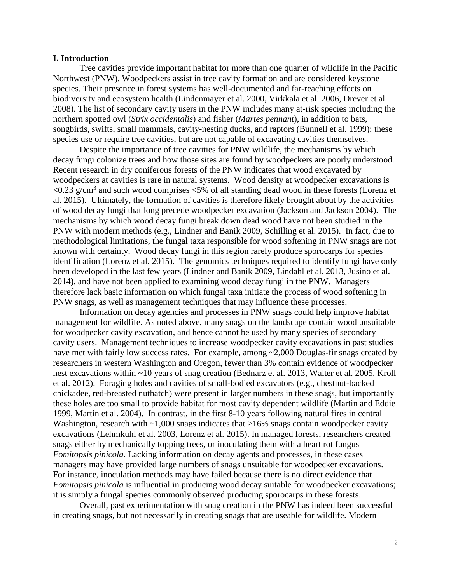#### **I. Introduction –**

Tree cavities provide important habitat for more than one quarter of wildlife in the Pacific Northwest (PNW). Woodpeckers assist in tree cavity formation and are considered keystone species. Their presence in forest systems has well-documented and far-reaching effects on biodiversity and ecosystem health (Lindenmayer et al. 2000, Virkkala et al. 2006, Drever et al. 2008). The list of secondary cavity users in the PNW includes many at-risk species including the northern spotted owl (*Strix occidentalis*) and fisher (*Martes pennant*), in addition to bats, songbirds, swifts, small mammals, cavity-nesting ducks, and raptors (Bunnell et al. 1999); these species use or require tree cavities, but are not capable of excavating cavities themselves.

Despite the importance of tree cavities for PNW wildlife, the mechanisms by which decay fungi colonize trees and how those sites are found by woodpeckers are poorly understood. Recent research in dry coniferous forests of the PNW indicates that wood excavated by woodpeckers at cavities is rare in natural systems. Wood density at woodpecker excavations is  $\langle 0.23 \text{ g/cm}^3$  and such wood comprises  $\langle 5\%$  of all standing dead wood in these forests (Lorenz et al. 2015). Ultimately, the formation of cavities is therefore likely brought about by the activities of wood decay fungi that long precede woodpecker excavation (Jackson and Jackson 2004). The mechanisms by which wood decay fungi break down dead wood have not been studied in the PNW with modern methods (e.g., Lindner and Banik 2009, Schilling et al. 2015). In fact, due to methodological limitations, the fungal taxa responsible for wood softening in PNW snags are not known with certainty. Wood decay fungi in this region rarely produce sporocarps for species identification (Lorenz et al. 2015). The genomics techniques required to identify fungi have only been developed in the last few years (Lindner and Banik 2009, Lindahl et al. 2013, Jusino et al. 2014), and have not been applied to examining wood decay fungi in the PNW. Managers therefore lack basic information on which fungal taxa initiate the process of wood softening in PNW snags, as well as management techniques that may influence these processes.

Information on decay agencies and processes in PNW snags could help improve habitat management for wildlife. As noted above, many snags on the landscape contain wood unsuitable for woodpecker cavity excavation, and hence cannot be used by many species of secondary cavity users. Management techniques to increase woodpecker cavity excavations in past studies have met with fairly low success rates. For example, among ~2,000 Douglas-fir snags created by researchers in western Washington and Oregon, fewer than 3% contain evidence of woodpecker nest excavations within ~10 years of snag creation (Bednarz et al. 2013, Walter et al. 2005, Kroll et al. 2012). Foraging holes and cavities of small-bodied excavators (e.g., chestnut-backed chickadee, red-breasted nuthatch) were present in larger numbers in these snags, but importantly these holes are too small to provide habitat for most cavity dependent wildlife (Martin and Eddie 1999, Martin et al. 2004). In contrast, in the first 8-10 years following natural fires in central Washington, research with  $\sim$ 1,000 snags indicates that  $>$ 16% snags contain woodpecker cavity excavations (Lehmkuhl et al. 2003, Lorenz et al. 2015). In managed forests, researchers created snags either by mechanically topping trees, or inoculating them with a heart rot fungus *Fomitopsis pinicola*. Lacking information on decay agents and processes, in these cases managers may have provided large numbers of snags unsuitable for woodpecker excavations. For instance, inoculation methods may have failed because there is no direct evidence that *Fomitopsis pinicola* is influential in producing wood decay suitable for woodpecker excavations; it is simply a fungal species commonly observed producing sporocarps in these forests.

Overall, past experimentation with snag creation in the PNW has indeed been successful in creating snags, but not necessarily in creating snags that are useable for wildlife. Modern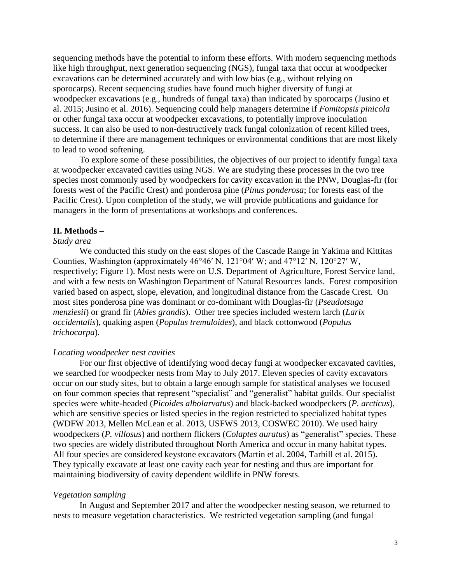sequencing methods have the potential to inform these efforts. With modern sequencing methods like high throughput, next generation sequencing (NGS), fungal taxa that occur at woodpecker excavations can be determined accurately and with low bias (e.g., without relying on sporocarps). Recent sequencing studies have found much higher diversity of fungi at woodpecker excavations (e.g., hundreds of fungal taxa) than indicated by sporocarps (Jusino et al. 2015; Jusino et al. 2016). Sequencing could help managers determine if *Fomitopsis pinicola* or other fungal taxa occur at woodpecker excavations, to potentially improve inoculation success. It can also be used to non-destructively track fungal colonization of recent killed trees, to determine if there are management techniques or environmental conditions that are most likely to lead to wood softening.

To explore some of these possibilities, the objectives of our project to identify fungal taxa at woodpecker excavated cavities using NGS. We are studying these processes in the two tree species most commonly used by woodpeckers for cavity excavation in the PNW, Douglas-fir (for forests west of the Pacific Crest) and ponderosa pine (*Pinus ponderosa*; for forests east of the Pacific Crest). Upon completion of the study, we will provide publications and guidance for managers in the form of presentations at workshops and conferences.

#### **II. Methods –**

### *Study area*

We conducted this study on the east slopes of the Cascade Range in Yakima and Kittitas Counties, Washington (approximately 46°46ʹ N, 121°04ʹ W; and 47°12ʹ N, 120°27ʹ W, respectively; Figure 1). Most nests were on U.S. Department of Agriculture, Forest Service land, and with a few nests on Washington Department of Natural Resources lands. Forest composition varied based on aspect, slope, elevation, and longitudinal distance from the Cascade Crest. On most sites ponderosa pine was dominant or co-dominant with Douglas-fir (*Pseudotsuga menziesii*) or grand fir (*Abies grandis*). Other tree species included western larch (*Larix occidentalis*), quaking aspen (*Populus tremuloides*), and black cottonwood (*Populus trichocarpa*).

### *Locating woodpecker nest cavities*

For our first objective of identifying wood decay fungi at woodpecker excavated cavities, we searched for woodpecker nests from May to July 2017. Eleven species of cavity excavators occur on our study sites, but to obtain a large enough sample for statistical analyses we focused on four common species that represent "specialist" and "generalist" habitat guilds. Our specialist species were white-headed (*Picoides albolarvatus*) and black-backed woodpeckers (*P. arcticus*), which are sensitive species or listed species in the region restricted to specialized habitat types (WDFW 2013, Mellen McLean et al. 2013, USFWS 2013, COSWEC 2010). We used hairy woodpeckers (*P. villosus*) and northern flickers (*Colaptes auratus*) as "generalist" species. These two species are widely distributed throughout North America and occur in many habitat types. All four species are considered keystone excavators (Martin et al. 2004, Tarbill et al. 2015). They typically excavate at least one cavity each year for nesting and thus are important for maintaining biodiversity of cavity dependent wildlife in PNW forests.

#### *Vegetation sampling*

In August and September 2017 and after the woodpecker nesting season, we returned to nests to measure vegetation characteristics. We restricted vegetation sampling (and fungal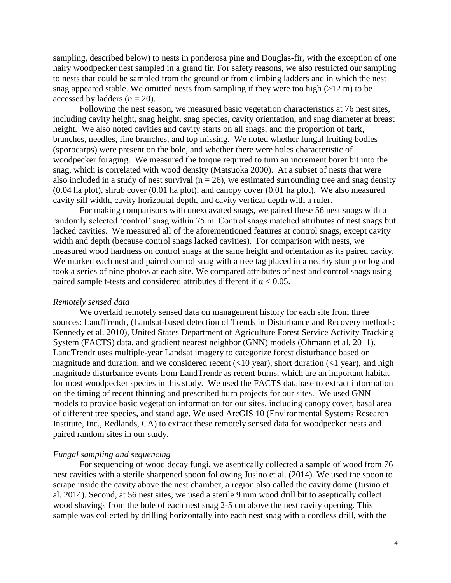sampling, described below) to nests in ponderosa pine and Douglas-fir, with the exception of one hairy woodpecker nest sampled in a grand fir. For safety reasons, we also restricted our sampling to nests that could be sampled from the ground or from climbing ladders and in which the nest snag appeared stable. We omitted nests from sampling if they were too high  $(>12 \text{ m})$  to be accessed by ladders  $(n = 20)$ .

Following the nest season, we measured basic vegetation characteristics at 76 nest sites, including cavity height, snag height, snag species, cavity orientation, and snag diameter at breast height. We also noted cavities and cavity starts on all snags, and the proportion of bark, branches, needles, fine branches, and top missing. We noted whether fungal fruiting bodies (sporocarps) were present on the bole, and whether there were holes characteristic of woodpecker foraging. We measured the torque required to turn an increment borer bit into the snag, which is correlated with wood density (Matsuoka 2000). At a subset of nests that were also included in a study of nest survival ( $n = 26$ ), we estimated surrounding tree and snag density (0.04 ha plot), shrub cover (0.01 ha plot), and canopy cover (0.01 ha plot). We also measured cavity sill width, cavity horizontal depth, and cavity vertical depth with a ruler.

For making comparisons with unexcavated snags, we paired these 56 nest snags with a randomly selected 'control' snag within 75 m. Control snags matched attributes of nest snags but lacked cavities. We measured all of the aforementioned features at control snags, except cavity width and depth (because control snags lacked cavities). For comparison with nests, we measured wood hardness on control snags at the same height and orientation as its paired cavity. We marked each nest and paired control snag with a tree tag placed in a nearby stump or log and took a series of nine photos at each site. We compared attributes of nest and control snags using paired sample t-tests and considered attributes different if  $\alpha$  < 0.05.

#### *Remotely sensed data*

We overlaid remotely sensed data on management history for each site from three sources: LandTrendr, (Landsat-based detection of Trends in Disturbance and Recovery methods; Kennedy et al. 2010), United States Department of Agriculture Forest Service Activity Tracking System (FACTS) data, and gradient nearest neighbor (GNN) models (Ohmann et al. 2011). LandTrendr uses multiple-year Landsat imagery to categorize forest disturbance based on magnitude and duration, and we considered recent  $(\langle 10 \text{ year}),$  short duration  $(\langle 1 \text{ year}),$  and high magnitude disturbance events from LandTrendr as recent burns, which are an important habitat for most woodpecker species in this study. We used the FACTS database to extract information on the timing of recent thinning and prescribed burn projects for our sites. We used GNN models to provide basic vegetation information for our sites, including canopy cover, basal area of different tree species, and stand age. We used ArcGIS 10 (Environmental Systems Research Institute, Inc., Redlands, CA) to extract these remotely sensed data for woodpecker nests and paired random sites in our study.

#### *Fungal sampling and sequencing*

For sequencing of wood decay fungi, we aseptically collected a sample of wood from 76 nest cavities with a sterile sharpened spoon following Jusino et al. (2014). We used the spoon to scrape inside the cavity above the nest chamber, a region also called the cavity dome (Jusino et al. 2014). Second, at 56 nest sites, we used a sterile 9 mm wood drill bit to aseptically collect wood shavings from the bole of each nest snag 2-5 cm above the nest cavity opening. This sample was collected by drilling horizontally into each nest snag with a cordless drill, with the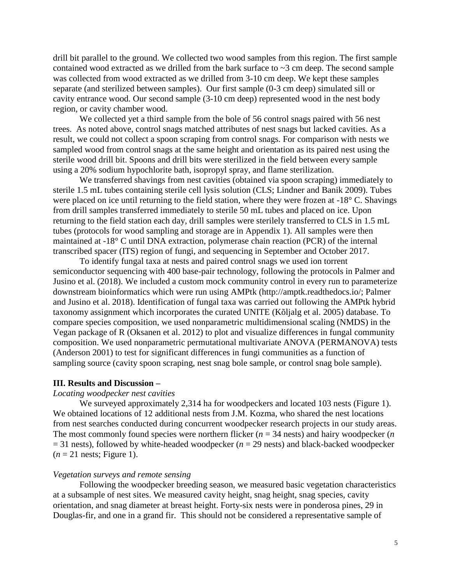drill bit parallel to the ground. We collected two wood samples from this region. The first sample contained wood extracted as we drilled from the bark surface to ~3 cm deep. The second sample was collected from wood extracted as we drilled from 3-10 cm deep. We kept these samples separate (and sterilized between samples). Our first sample (0-3 cm deep) simulated sill or cavity entrance wood. Our second sample (3-10 cm deep) represented wood in the nest body region, or cavity chamber wood.

We collected yet a third sample from the bole of 56 control snags paired with 56 nest trees. As noted above, control snags matched attributes of nest snags but lacked cavities. As a result, we could not collect a spoon scraping from control snags. For comparison with nests we sampled wood from control snags at the same height and orientation as its paired nest using the sterile wood drill bit. Spoons and drill bits were sterilized in the field between every sample using a 20% sodium hypochlorite bath, isopropyl spray, and flame sterilization.

We transferred shavings from nest cavities (obtained via spoon scraping) immediately to sterile 1.5 mL tubes containing sterile cell lysis solution (CLS; Lindner and Banik 2009). Tubes were placed on ice until returning to the field station, where they were frozen at -18° C. Shavings from drill samples transferred immediately to sterile 50 mL tubes and placed on ice. Upon returning to the field station each day, drill samples were sterilely transferred to CLS in 1.5 mL tubes (protocols for wood sampling and storage are in Appendix 1). All samples were then maintained at -18° C until DNA extraction, polymerase chain reaction (PCR) of the internal transcribed spacer (ITS) region of fungi, and sequencing in September and October 2017.

To identify fungal taxa at nests and paired control snags we used ion torrent semiconductor sequencing with 400 base-pair technology, following the protocols in Palmer and Jusino et al. (2018). We included a custom mock community control in every run to parameterize downstream bioinformatics which were run using AMPtk (http://amptk.readthedocs.io/; Palmer and Jusino et al. 2018). Identification of fungal taxa was carried out following the AMPtk hybrid taxonomy assignment which incorporates the curated UNITE (Kõljalg et al. 2005) database. To compare species composition, we used nonparametric multidimensional scaling (NMDS) in the Vegan package of R (Oksanen et al. 2012) to plot and visualize differences in fungal community composition. We used nonparametric permutational multivariate ANOVA (PERMANOVA) tests (Anderson 2001) to test for significant differences in fungi communities as a function of sampling source (cavity spoon scraping, nest snag bole sample, or control snag bole sample).

#### **III. Results and Discussion –**

#### *Locating woodpecker nest cavities*

We surveyed approximately 2,314 ha for woodpeckers and located 103 nests (Figure 1). We obtained locations of 12 additional nests from J.M. Kozma, who shared the nest locations from nest searches conducted during concurrent woodpecker research projects in our study areas. The most commonly found species were northern flicker ( $n = 34$  nests) and hairy woodpecker ( $n = 12$  $= 31$  nests), followed by white-headed woodpecker ( $n = 29$  nests) and black-backed woodpecker  $(n = 21$  nests; Figure 1).

#### *Vegetation surveys and remote sensing*

Following the woodpecker breeding season, we measured basic vegetation characteristics at a subsample of nest sites. We measured cavity height, snag height, snag species, cavity orientation, and snag diameter at breast height. Forty-six nests were in ponderosa pines, 29 in Douglas-fir, and one in a grand fir. This should not be considered a representative sample of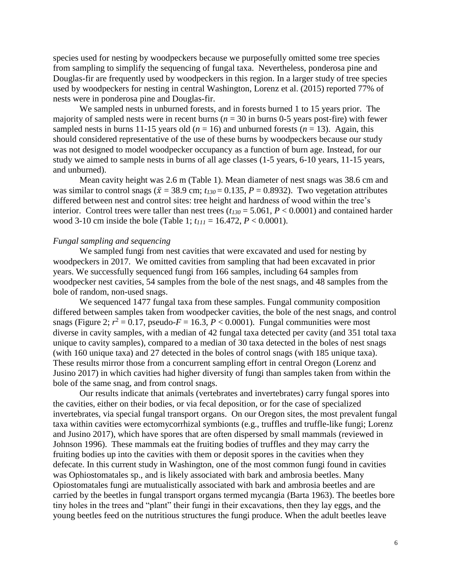species used for nesting by woodpeckers because we purposefully omitted some tree species from sampling to simplify the sequencing of fungal taxa. Nevertheless, ponderosa pine and Douglas-fir are frequently used by woodpeckers in this region. In a larger study of tree species used by woodpeckers for nesting in central Washington, Lorenz et al. (2015) reported 77% of nests were in ponderosa pine and Douglas-fir.

We sampled nests in unburned forests, and in forests burned 1 to 15 years prior. The majority of sampled nests were in recent burns ( $n = 30$  in burns 0-5 years post-fire) with fewer sampled nests in burns 11-15 years old ( $n = 16$ ) and unburned forests ( $n = 13$ ). Again, this should considered representative of the use of these burns by woodpeckers because our study was not designed to model woodpecker occupancy as a function of burn age. Instead, for our study we aimed to sample nests in burns of all age classes (1-5 years, 6-10 years, 11-15 years, and unburned).

Mean cavity height was 2.6 m (Table 1). Mean diameter of nest snags was 38.6 cm and was similar to control snags ( $\bar{x}$  = 38.9 cm;  $t_{130}$  = 0.135, *P* = 0.8932). Two vegetation attributes differed between nest and control sites: tree height and hardness of wood within the tree's interior. Control trees were taller than nest trees  $(t_{130} = 5.061, P < 0.0001)$  and contained harder wood 3-10 cm inside the bole (Table 1; *t<sup>111</sup>* = 16.472, *P* < 0.0001).

#### *Fungal sampling and sequencing*

We sampled fungi from nest cavities that were excavated and used for nesting by woodpeckers in 2017. We omitted cavities from sampling that had been excavated in prior years. We successfully sequenced fungi from 166 samples, including 64 samples from woodpecker nest cavities, 54 samples from the bole of the nest snags, and 48 samples from the bole of random, non-used snags.

We sequenced 1477 fungal taxa from these samples. Fungal community composition differed between samples taken from woodpecker cavities, the bole of the nest snags, and control snags (Figure 2;  $r^2 = 0.17$ , pseudo- $F = 16.3$ ,  $P < 0.0001$ ). Fungal communities were most diverse in cavity samples, with a median of 42 fungal taxa detected per cavity (and 351 total taxa unique to cavity samples), compared to a median of 30 taxa detected in the boles of nest snags (with 160 unique taxa) and 27 detected in the boles of control snags (with 185 unique taxa). These results mirror those from a concurrent sampling effort in central Oregon (Lorenz and Jusino 2017) in which cavities had higher diversity of fungi than samples taken from within the bole of the same snag, and from control snags.

Our results indicate that animals (vertebrates and invertebrates) carry fungal spores into the cavities, either on their bodies, or via fecal deposition, or for the case of specialized invertebrates, via special fungal transport organs. On our Oregon sites, the most prevalent fungal taxa within cavities were ectomycorrhizal symbionts (e.g., truffles and truffle-like fungi; Lorenz and Jusino 2017), which have spores that are often dispersed by small mammals (reviewed in Johnson 1996). These mammals eat the fruiting bodies of truffles and they may carry the fruiting bodies up into the cavities with them or deposit spores in the cavities when they defecate. In this current study in Washington, one of the most common fungi found in cavities was Ophiostomatales sp., and is likely associated with bark and ambrosia beetles. Many Opiostomatales fungi are mutualistically associated with bark and ambrosia beetles and are carried by the beetles in fungal transport organs termed mycangia (Barta 1963). The beetles bore tiny holes in the trees and "plant" their fungi in their excavations, then they lay eggs, and the young beetles feed on the nutritious structures the fungi produce. When the adult beetles leave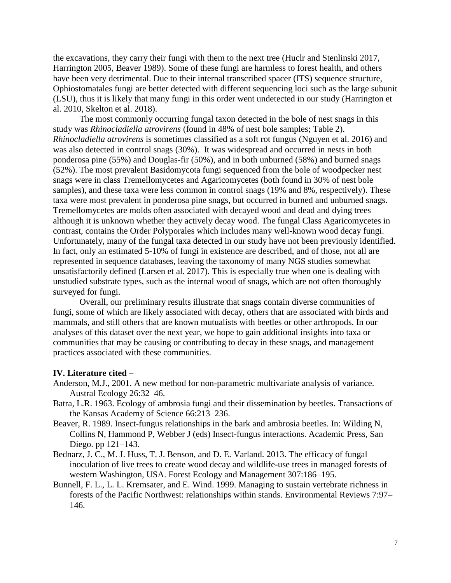the excavations, they carry their fungi with them to the next tree (Huclr and Stenlinski 2017, Harrington 2005, Beaver 1989). Some of these fungi are harmless to forest health, and others have been very detrimental. Due to their internal transcribed spacer (ITS) sequence structure, Ophiostomatales fungi are better detected with different sequencing loci such as the large subunit (LSU), thus it is likely that many fungi in this order went undetected in our study (Harrington et al. 2010, Skelton et al. 2018).

The most commonly occurring fungal taxon detected in the bole of nest snags in this study was *Rhinocladiella atrovirens* (found in 48% of nest bole samples; Table 2). *Rhinocladiella atrovirens* is sometimes classified as a soft rot fungus (Nguyen et al. 2016) and was also detected in control snags (30%). It was widespread and occurred in nests in both ponderosa pine (55%) and Douglas-fir (50%), and in both unburned (58%) and burned snags (52%). The most prevalent Basidomycota fungi sequenced from the bole of woodpecker nest snags were in class Tremellomycetes and Agaricomycetes (both found in 30% of nest bole samples), and these taxa were less common in control snags (19% and 8%, respectively). These taxa were most prevalent in ponderosa pine snags, but occurred in burned and unburned snags. Tremellomycetes are molds often associated with decayed wood and dead and dying trees although it is unknown whether they actively decay wood. The fungal Class Agaricomycetes in contrast, contains the Order Polyporales which includes many well-known wood decay fungi. Unfortunately, many of the fungal taxa detected in our study have not been previously identified. In fact, only an estimated 5-10% of fungi in existence are described, and of those, not all are represented in sequence databases, leaving the taxonomy of many NGS studies somewhat unsatisfactorily defined (Larsen et al. 2017). This is especially true when one is dealing with unstudied substrate types, such as the internal wood of snags, which are not often thoroughly surveyed for fungi.

Overall, our preliminary results illustrate that snags contain diverse communities of fungi, some of which are likely associated with decay, others that are associated with birds and mammals, and still others that are known mutualists with beetles or other arthropods. In our analyses of this dataset over the next year, we hope to gain additional insights into taxa or communities that may be causing or contributing to decay in these snags, and management practices associated with these communities.

# **IV. Literature cited –**

- Anderson, M.J., 2001. A new method for non-parametric multivariate analysis of variance. Austral Ecology 26:32–46.
- Batra, L.R. 1963. Ecology of ambrosia fungi and their dissemination by beetles. Transactions of the Kansas Academy of Science 66:213–236.
- Beaver, R. 1989. Insect-fungus relationships in the bark and ambrosia beetles. In: Wilding N, Collins N, Hammond P, Webber J (eds) Insect-fungus interactions. Academic Press, San Diego. pp 121–143.
- Bednarz, J. C., M. J. Huss, T. J. Benson, and D. E. Varland. 2013. The efficacy of fungal inoculation of live trees to create wood decay and wildlife-use trees in managed forests of western Washington, USA. Forest Ecology and Management 307:186–195.
- Bunnell, F. L., L. L. Kremsater, and E. Wind. 1999. Managing to sustain vertebrate richness in forests of the Pacific Northwest: relationships within stands. Environmental Reviews 7:97– 146.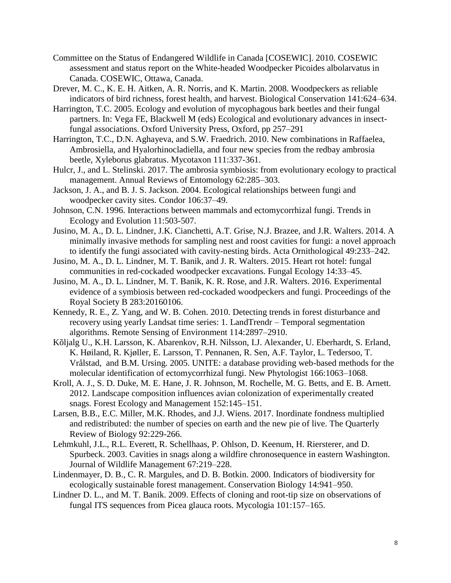- Committee on the Status of Endangered Wildlife in Canada [COSEWIC]. 2010. COSEWIC assessment and status report on the White-headed Woodpecker Picoides albolarvatus in Canada. COSEWIC, Ottawa, Canada.
- Drever, M. C., K. E. H. Aitken, A. R. Norris, and K. Martin. 2008. Woodpeckers as reliable indicators of bird richness, forest health, and harvest. Biological Conservation 141:624–634.
- Harrington, T.C. 2005. Ecology and evolution of mycophagous bark beetles and their fungal partners. In: Vega FE, Blackwell M (eds) Ecological and evolutionary advances in insectfungal associations. Oxford University Press, Oxford, pp 257–291
- Harrington, T.C., D.N. Aghayeva, and S.W. Fraedrich. 2010. New combinations in Raffaelea, Ambrosiella, and Hyalorhinocladiella, and four new species from the redbay ambrosia beetle, Xyleborus glabratus. Mycotaxon 111:337-361.
- Hulcr, J., and L. Stelinski. 2017. The ambrosia symbiosis: from evolutionary ecology to practical management. Annual Reviews of Entomology 62:285–303.
- Jackson, J. A., and B. J. S. Jackson. 2004. Ecological relationships between fungi and woodpecker cavity sites. Condor 106:37–49.
- Johnson, C.N. 1996. Interactions between mammals and ectomycorrhizal fungi. Trends in Ecology and Evolution 11:503-507.
- Jusino, M. A., D. L. Lindner, J.K. Cianchetti, A.T. Grise, N.J. Brazee, and J.R. Walters. 2014. A minimally invasive methods for sampling nest and roost cavities for fungi: a novel approach to identify the fungi associated with cavity-nesting birds. Acta Ornithological 49:233–242.
- Jusino, M. A., D. L. Lindner, M. T. Banik, and J. R. Walters. 2015. Heart rot hotel: fungal communities in red-cockaded woodpecker excavations. Fungal Ecology 14:33–45.
- Jusino, M. A., D. L. Lindner, M. T. Banik, K. R. Rose, and J.R. Walters. 2016. Experimental evidence of a symbiosis between red-cockaded woodpeckers and fungi. Proceedings of the Royal Society B 283:20160106.
- Kennedy, R. E., Z. Yang, and W. B. Cohen. 2010. Detecting trends in forest disturbance and recovery using yearly Landsat time series: 1. LandTrendr – Temporal segmentation algorithms. Remote Sensing of Environment 114:2897–2910.
- Kõljalg U., K.H. Larsson, K. Abarenkov, R.H. Nilsson, I.J. Alexander, U. Eberhardt, S. Erland, K. Høiland, R. Kjøller, E. Larsson, T. Pennanen, R. Sen, A.F. Taylor, L. Tedersoo, T. Vrålstad, and B.M. Ursing. 2005. UNITE: a database providing web-based methods for the molecular identification of ectomycorrhizal fungi. New Phytologist 166:1063–1068.
- Kroll, A. J., S. D. Duke, M. E. Hane, J. R. Johnson, M. Rochelle, M. G. Betts, and E. B. Arnett. 2012. Landscape composition influences avian colonization of experimentally created snags. Forest Ecology and Management 152:145–151.
- Larsen, B.B., E.C. Miller, M.K. Rhodes, and J.J. Wiens. 2017. Inordinate fondness multiplied and redistributed: the number of species on earth and the new pie of live. The Quarterly Review of Biology 92:229-266.
- Lehmkuhl, J.L., R.L. Everett, R. Schellhaas, P. Ohlson, D. Keenum, H. Riersterer, and D. Spurbeck. 2003. Cavities in snags along a wildfire chronosequence in eastern Washington. Journal of Wildlife Management 67:219–228.
- Lindenmayer, D. B., C. R. Margules, and D. B. Botkin. 2000. Indicators of biodiversity for ecologically sustainable forest management. Conservation Biology 14:941–950.
- Lindner D. L., and M. T. Banik. 2009. Effects of cloning and root-tip size on observations of fungal ITS sequences from Picea glauca roots. Mycologia 101:157–165.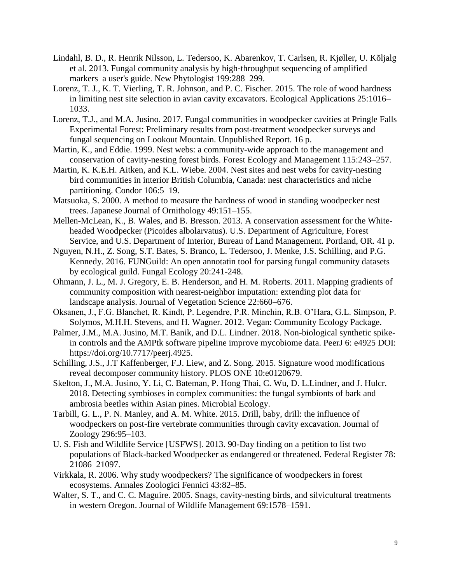- Lindahl, B. D., R. Henrik Nilsson, L. Tedersoo, K. Abarenkov, T. Carlsen, R. Kjøller, U. Kõljalg et al. 2013. Fungal community analysis by high‐throughput sequencing of amplified markers–a user's guide. New Phytologist 199:288–299.
- Lorenz, T. J., K. T. Vierling, T. R. Johnson, and P. C. Fischer. 2015. The role of wood hardness in limiting nest site selection in avian cavity excavators. Ecological Applications 25:1016– 1033.
- Lorenz, T.J., and M.A. Jusino. 2017. Fungal communities in woodpecker cavities at Pringle Falls Experimental Forest: Preliminary results from post-treatment woodpecker surveys and fungal sequencing on Lookout Mountain. Unpublished Report. 16 p.
- Martin, K., and Eddie. 1999. Nest webs: a community-wide approach to the management and conservation of cavity-nesting forest birds. Forest Ecology and Management 115:243–257.
- Martin, K. K.E.H. Aitken, and K.L. Wiebe. 2004. Nest sites and nest webs for cavity-nesting bird communities in interior British Columbia, Canada: nest characteristics and niche partitioning. Condor 106:5–19.
- Matsuoka, S. 2000. A method to measure the hardness of wood in standing woodpecker nest trees. Japanese Journal of Ornithology 49:151–155.
- Mellen-McLean, K., B. Wales, and B. Bresson. 2013. A conservation assessment for the Whiteheaded Woodpecker (Picoides albolarvatus). U.S. Department of Agriculture, Forest Service, and U.S. Department of Interior, Bureau of Land Management. Portland, OR. 41 p.
- Nguyen, N.H., Z. Song, S.T. Bates, S. Branco, L. Tedersoo, J. Menke, J.S. Schilling, and P.G. Kennedy. 2016. FUNGuild: An open annotatin tool for parsing fungal community datasets by ecological guild. Fungal Ecology 20:241-248.
- Ohmann, J. L., M. J. Gregory, E. B. Henderson, and H. M. Roberts. 2011. Mapping gradients of community composition with nearest-neighbor imputation: extending plot data for landscape analysis. Journal of Vegetation Science 22:660–676.
- Oksanen, J., F.G. Blanchet, R. Kindt, P. Legendre, P.R. Minchin, R.B. O'Hara, G.L. Simpson, P. Solymos, M.H.H. Stevens, and H. Wagner. 2012. Vegan: Community Ecology Package.
- Palmer, J.M., M.A. Jusino, M.T. Banik, and D.L. Lindner. 2018. Non-biological synthetic spikein controls and the AMPtk software pipeline improve mycobiome data. PeerJ 6: e4925 DOI: https://doi.org/10.7717/peerj.4925.
- Schilling, J.S., J.T Kaffenberger, F.J. Liew, and Z. Song. 2015. Signature wood modifications reveal decomposer community history. PLOS ONE 10:e0120679.
- Skelton, J., M.A. Jusino, Y. Li, C. Bateman, P. Hong Thai, C. Wu, D. L.Lindner, and J. Hulcr. 2018. Detecting symbioses in complex communities: the fungal symbionts of bark and ambrosia beetles within Asian pines. Microbial Ecology.
- Tarbill, G. L., P. N. Manley, and A. M. White. 2015. Drill, baby, drill: the influence of woodpeckers on post-fire vertebrate communities through cavity excavation. Journal of Zoology 296:95–103.
- U. S. Fish and Wildlife Service [USFWS]. 2013. 90-Day finding on a petition to list two populations of Black-backed Woodpecker as endangered or threatened. Federal Register 78: 21086–21097.
- Virkkala, R. 2006. Why study woodpeckers? The significance of woodpeckers in forest ecosystems. Annales Zoologici Fennici 43:82–85.
- Walter, S. T., and C. C. Maguire. 2005. Snags, cavity-nesting birds, and silvicultural treatments in western Oregon. Journal of Wildlife Management 69:1578–1591.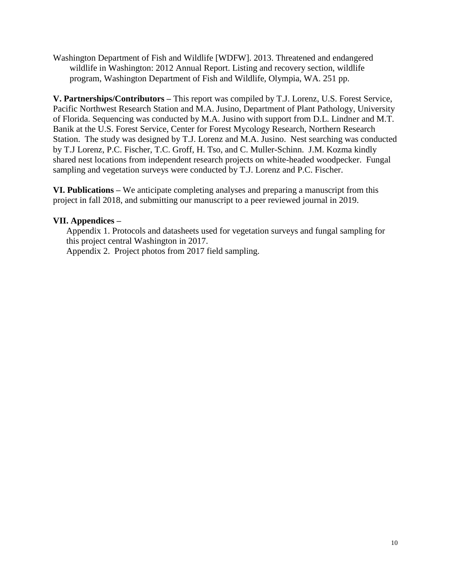Washington Department of Fish and Wildlife [WDFW]. 2013. Threatened and endangered wildlife in Washington: 2012 Annual Report. Listing and recovery section, wildlife program, Washington Department of Fish and Wildlife, Olympia, WA. 251 pp.

**V. Partnerships/Contributors –** This report was compiled by T.J. Lorenz, U.S. Forest Service, Pacific Northwest Research Station and M.A. Jusino, Department of Plant Pathology, University of Florida. Sequencing was conducted by M.A. Jusino with support from D.L. Lindner and M.T. Banik at the U.S. Forest Service, Center for Forest Mycology Research, Northern Research Station. The study was designed by T.J. Lorenz and M.A. Jusino. Nest searching was conducted by T.J Lorenz, P.C. Fischer, T.C. Groff, H. Tso, and C. Muller-Schinn. J.M. Kozma kindly shared nest locations from independent research projects on white-headed woodpecker. Fungal sampling and vegetation surveys were conducted by T.J. Lorenz and P.C. Fischer.

**VI. Publications –** We anticipate completing analyses and preparing a manuscript from this project in fall 2018, and submitting our manuscript to a peer reviewed journal in 2019.

# **VII. Appendices –**

Appendix 1. Protocols and datasheets used for vegetation surveys and fungal sampling for this project central Washington in 2017. Appendix 2. Project photos from 2017 field sampling.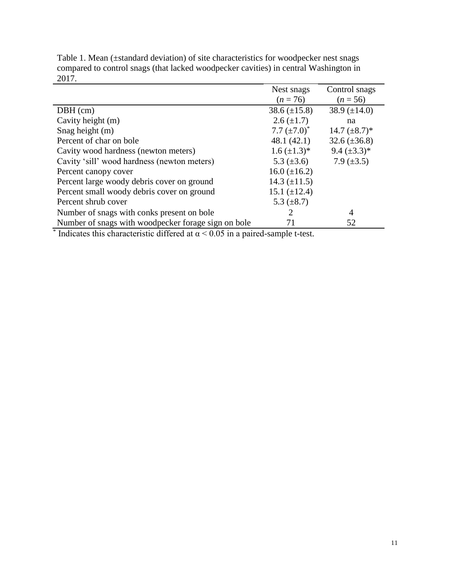|                                                     | Nest snags          | Control snags      |
|-----------------------------------------------------|---------------------|--------------------|
|                                                     | $(n = 76)$          | $(n = 56)$         |
| $DBH$ (cm)                                          | $38.6 (\pm 15.8)$   | 38.9 $(\pm 14.0)$  |
| Cavity height (m)                                   | $2.6 \ (\pm 1.7)$   | na                 |
| Snag height (m)                                     | 7.7 $(\pm 7.0)^*$   | 14.7 $(\pm 8.7)^*$ |
| Percent of char on bole                             | 48.1(42.1)          | $32.6 (\pm 36.8)$  |
| Cavity wood hardness (newton meters)                | $1.6 \ (\pm 1.3)^*$ | 9.4 $(\pm 3.3)^*$  |
| Cavity 'sill' wood hardness (newton meters)         | 5.3 $(\pm 3.6)$     | 7.9 $(\pm 3.5)$    |
| Percent canopy cover                                | $16.0 \ (\pm 16.2)$ |                    |
| Percent large woody debris cover on ground          | 14.3 $(\pm 11.5)$   |                    |
| Percent small woody debris cover on ground          | 15.1 $(\pm 12.4)$   |                    |
| Percent shrub cover                                 | 5.3 $(\pm 8.7)$     |                    |
| Number of snags with conks present on bole          | 2                   | $\overline{A}$     |
| Number of snags with woodpecker forage sign on bole | 71                  | 52                 |

Table 1. Mean (±standard deviation) of site characteristics for woodpecker nest snags compared to control snags (that lacked woodpecker cavities) in central Washington in 2017.

\* Indicates this characteristic differed at  $\alpha$  < 0.05 in a paired-sample t-test.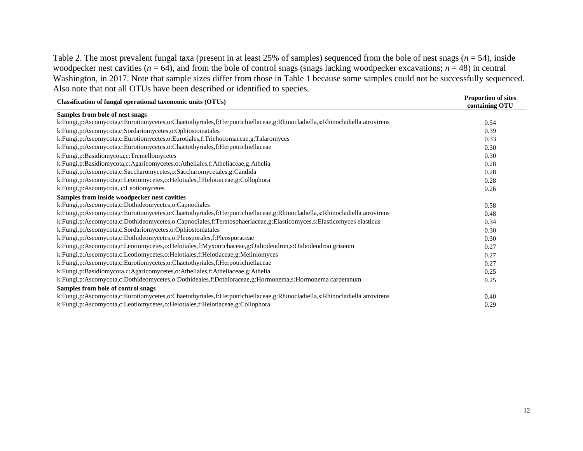Table 2. The most prevalent fungal taxa (present in at least 25% of samples) sequenced from the bole of nest snags (*n* = 54), inside woodpecker nest cavities ( $n = 64$ ), and from the bole of control snags (snags lacking woodpecker excavations;  $n = 48$ ) in central Washington, in 2017. Note that sample sizes differ from those in Table 1 because some samples could not be successfully sequenced. Also note that not all OTUs have been described or identified to species.

| <b>Classification of fungal operational taxonomic units (OTUs)</b>                                                         | <b>Proportion of sites</b><br>containing OTU |
|----------------------------------------------------------------------------------------------------------------------------|----------------------------------------------|
| Samples from bole of nest snags                                                                                            |                                              |
| k:Fungi,p:Ascomycota,c:Eurotiomycetes,o:Chaetothyriales,f:Herpotrichiellaceae,g:Rhinocladiella,s:Rhinocladiella atrovirens | 0.54                                         |
| k:Fungi,p:Ascomycota,c:Sordariomycetes,o:Ophiostomatales                                                                   | 0.39                                         |
| k:Fungi,p:Ascomycota,c:Eurotiomycetes,o:Eurotiales,f:Trichocomaceae,g:Talaromyces                                          | 0.33                                         |
| k:Fungi,p:Ascomycota,c:Eurotiomycetes,o:Chaetothyriales,f:Herpotrichiellaceae                                              | 0.30                                         |
| k:Fungi,p:Basidiomycota,c:Tremellomycetes                                                                                  | 0.30                                         |
| k:Fungi,p:Basidiomycota,c:Agaricomycetes,o:Atheliales,f:Atheliaceae,g:Athelia                                              | 0.28                                         |
| k:Fungi,p:Ascomycota,c:Saccharomycetes,o:Saccharomycetales,g:Candida                                                       | 0.28                                         |
| k:Fungi,p:Ascomycota,c:Leotiomycetes,o:Helotiales,f:Helotiaceae,g:Collophora                                               | 0.28                                         |
| k:Fungi,p:Ascomycota, c:Leotiomycetes                                                                                      | 0.26                                         |
| Samples from inside woodpecker nest cavities                                                                               |                                              |
| k:Fungi,p:Ascomycota,c:Dothideomycetes,o:Capnodiales                                                                       | 0.58                                         |
| k:Fungi,p:Ascomycota,c:Eurotiomycetes,o:Chaetothyriales,f:Herpotrichiellaceae,g:Rhinocladiella,s:Rhinocladiella atrovirens | 0.48                                         |
| k:Fungi,p:Ascomycota,c:Dothideomycetes,o:Capnodiales,f:Teratosphaeriaceae,g:Elasticomyces,s:Elasticomyces elasticus        | 0.34                                         |
| k:Fungi,p:Ascomycota,c:Sordariomycetes,o:Ophiostomatales                                                                   | 0.30                                         |
| k:Fungi,p:Ascomycota,c:Dothideomycetes,o:Pleosporales,f:Pleosporaceae                                                      | 0.30                                         |
| k:Fungi,p:Ascomycota,c:Leotiomycetes,o:Helotiales,f:Myxotrichaceae,g:Oidiodendron,s:Oidiodendron griseum                   | 0.27                                         |
| k:Fungi,p:Ascomycota,c:Leotiomycetes,o:Helotiales,f:Helotiaceae,g:Meliniomyces                                             | 0.27                                         |
| k:Fungi,p:Ascomycota,c:Eurotiomycetes,o:Chaetothyriales,f:Herpotrichiellaceae                                              | 0.27                                         |
| k:Fungi,p:Basidiomycota,c:Agaricomycetes,o:Atheliales,f:Atheliaceae,g:Athelia                                              | 0.25                                         |
| k:Fungi,p:Ascomycota,c:Dothideomycetes,o:Dothideales,f:Dothioraceae,g:Hormonema,s:Hormonema carpetanum                     | 0.25                                         |
| Samples from bole of control snags                                                                                         |                                              |
| k:Fungi,p:Ascomycota,c:Eurotiomycetes,o:Chaetothyriales,f:Herpotrichiellaceae,g:Rhinocladiella,s:Rhinocladiella atrovirens | 0.40                                         |
| k:Fungi,p:Ascomycota,c:Leotiomycetes,o:Helotiales,f:Helotiaceae,g:Collophora                                               | 0.29                                         |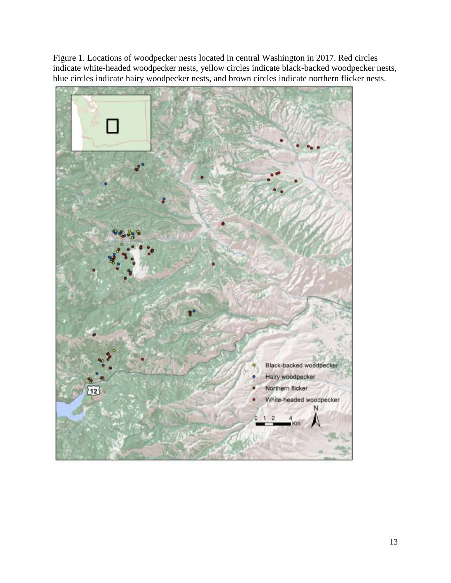Figure 1. Locations of woodpecker nests located in central Washington in 2017. Red circles indicate white-headed woodpecker nests, yellow circles indicate black-backed woodpecker nests, blue circles indicate hairy woodpecker nests, and brown circles indicate northern flicker nests.

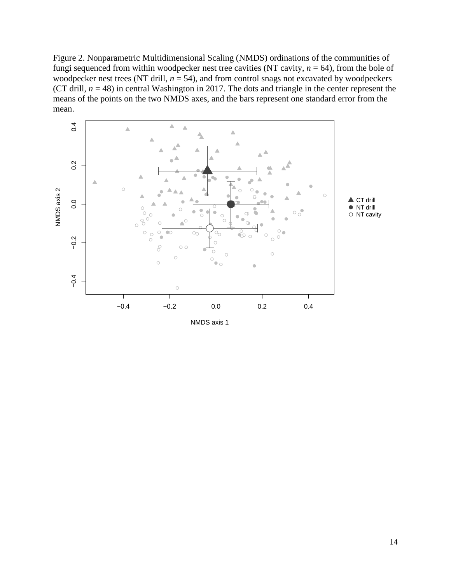Figure 2. Nonparametric Multidimensional Scaling (NMDS) ordinations of the communities of fungi sequenced from within woodpecker nest tree cavities (NT cavity,  $n = 64$ ), from the bole of woodpecker nest trees (NT drill,  $n = 54$ ), and from control snags not excavated by woodpeckers (CT drill,  $n = 48$ ) in central Washington in 2017. The dots and triangle in the center represent the means of the points on the two NMDS axes, and the bars represent one standard error from the mean.

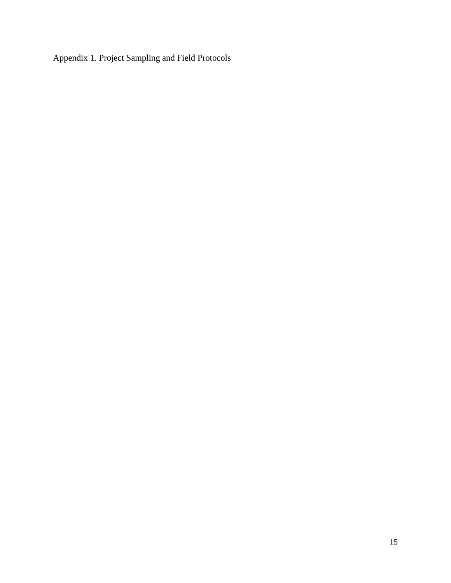Appendix 1. Project Sampling and Field Protocols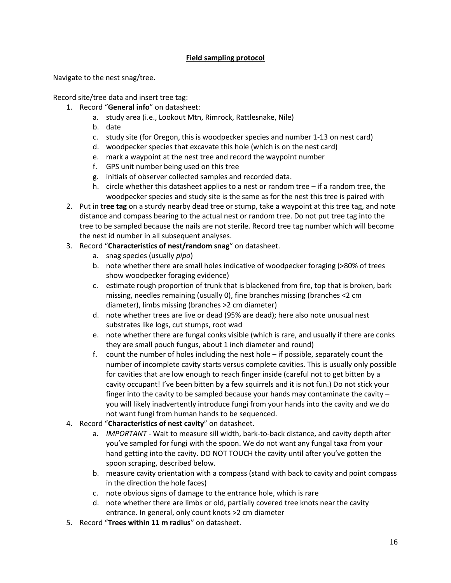# **Field sampling protocol**

Navigate to the nest snag/tree.

Record site/tree data and insert tree tag:

- 1. Record "**General info**" on datasheet:
	- a. study area (i.e., Lookout Mtn, Rimrock, Rattlesnake, Nile)
	- b. date
	- c. study site (for Oregon, this is woodpecker species and number 1-13 on nest card)
	- d. woodpecker species that excavate this hole (which is on the nest card)
	- e. mark a waypoint at the nest tree and record the waypoint number
	- f. GPS unit number being used on this tree
	- g. initials of observer collected samples and recorded data.
	- h. circle whether this datasheet applies to a nest or random tree if a random tree, the woodpecker species and study site is the same as for the nest this tree is paired with
- 2. Put in **tree tag** on a sturdy nearby dead tree or stump, take a waypoint at this tree tag, and note distance and compass bearing to the actual nest or random tree. Do not put tree tag into the tree to be sampled because the nails are not sterile. Record tree tag number which will become the nest id number in all subsequent analyses.
- 3. Record "**Characteristics of nest/random snag**" on datasheet.
	- a. snag species (usually *pipo*)
	- b. note whether there are small holes indicative of woodpecker foraging (>80% of trees show woodpecker foraging evidence)
	- c. estimate rough proportion of trunk that is blackened from fire, top that is broken, bark missing, needles remaining (usually 0), fine branches missing (branches <2 cm diameter), limbs missing (branches >2 cm diameter)
	- d. note whether trees are live or dead (95% are dead); here also note unusual nest substrates like logs, cut stumps, root wad
	- e. note whether there are fungal conks visible (which is rare, and usually if there are conks they are small pouch fungus, about 1 inch diameter and round)
	- f. count the number of holes including the nest hole if possible, separately count the number of incomplete cavity starts versus complete cavities. This is usually only possible for cavities that are low enough to reach finger inside (careful not to get bitten by a cavity occupant! I've been bitten by a few squirrels and it is not fun.) Do not stick your finger into the cavity to be sampled because your hands may contaminate the cavity – you will likely inadvertently introduce fungi from your hands into the cavity and we do not want fungi from human hands to be sequenced.
- 4. Record "**Characteristics of nest cavity**" on datasheet.
	- a. *IMPORTANT -* Wait to measure sill width, bark-to-back distance, and cavity depth after you've sampled for fungi with the spoon. We do not want any fungal taxa from your hand getting into the cavity. DO NOT TOUCH the cavity until after you've gotten the spoon scraping, described below.
	- b. measure cavity orientation with a compass (stand with back to cavity and point compass in the direction the hole faces)
	- c. note obvious signs of damage to the entrance hole, which is rare
	- d. note whether there are limbs or old, partially covered tree knots near the cavity entrance. In general, only count knots >2 cm diameter
- 5. Record "**Trees within 11 m radius**" on datasheet.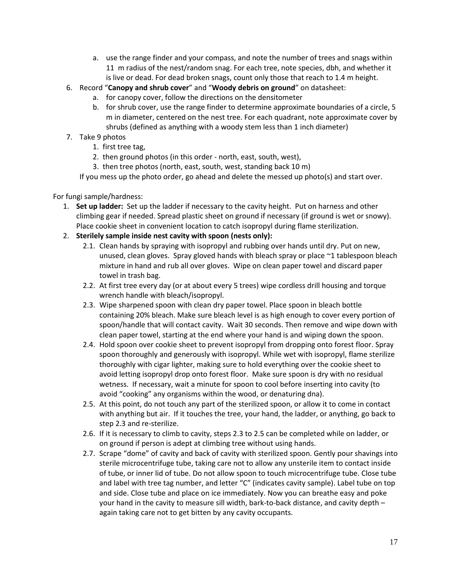- a. use the range finder and your compass, and note the number of trees and snags within 11 m radius of the nest/random snag. For each tree, note species, dbh, and whether it is live or dead. For dead broken snags, count only those that reach to 1.4 m height.
- 6. Record "**Canopy and shrub cover**" and "**Woody debris on ground**" on datasheet:
	- a. for canopy cover, follow the directions on the densitometer
	- b. for shrub cover, use the range finder to determine approximate boundaries of a circle, 5 m in diameter, centered on the nest tree. For each quadrant, note approximate cover by shrubs (defined as anything with a woody stem less than 1 inch diameter)
- 7. Take 9 photos
	- 1. first tree tag,
	- 2. then ground photos (in this order north, east, south, west),
	- 3. then tree photos (north, east, south, west, standing back 10 m)

If you mess up the photo order, go ahead and delete the messed up photo(s) and start over.

### For fungi sample/hardness:

- 1. **Set up ladder:** Set up the ladder if necessary to the cavity height. Put on harness and other climbing gear if needed. Spread plastic sheet on ground if necessary (if ground is wet or snowy). Place cookie sheet in convenient location to catch isopropyl during flame sterilization.
- 2. **Sterilely sample inside nest cavity with spoon (nests only):**
	- 2.1. Clean hands by spraying with isopropyl and rubbing over hands until dry. Put on new, unused, clean gloves. Spray gloved hands with bleach spray or place ~1 tablespoon bleach mixture in hand and rub all over gloves. Wipe on clean paper towel and discard paper towel in trash bag.
	- 2.2. At first tree every day (or at about every 5 trees) wipe cordless drill housing and torque wrench handle with bleach/isopropyl.
	- 2.3. Wipe sharpened spoon with clean dry paper towel. Place spoon in bleach bottle containing 20% bleach. Make sure bleach level is as high enough to cover every portion of spoon/handle that will contact cavity. Wait 30 seconds. Then remove and wipe down with clean paper towel, starting at the end where your hand is and wiping down the spoon.
	- 2.4. Hold spoon over cookie sheet to prevent isopropyl from dropping onto forest floor. Spray spoon thoroughly and generously with isopropyl. While wet with isopropyl, flame sterilize thoroughly with cigar lighter, making sure to hold everything over the cookie sheet to avoid letting isopropyl drop onto forest floor. Make sure spoon is dry with no residual wetness. If necessary, wait a minute for spoon to cool before inserting into cavity (to avoid "cooking" any organisms within the wood, or denaturing dna).
	- 2.5. At this point, do not touch any part of the sterilized spoon, or allow it to come in contact with anything but air. If it touches the tree, your hand, the ladder, or anything, go back to step 2.3 and re-sterilize.
	- 2.6. If it is necessary to climb to cavity, steps 2.3 to 2.5 can be completed while on ladder, or on ground if person is adept at climbing tree without using hands.
	- 2.7. Scrape "dome" of cavity and back of cavity with sterilized spoon. Gently pour shavings into sterile microcentrifuge tube, taking care not to allow any unsterile item to contact inside of tube, or inner lid of tube. Do not allow spoon to touch microcentrifuge tube. Close tube and label with tree tag number, and letter "C" (indicates cavity sample). Label tube on top and side. Close tube and place on ice immediately. Now you can breathe easy and poke your hand in the cavity to measure sill width, bark-to-back distance, and cavity depth – again taking care not to get bitten by any cavity occupants.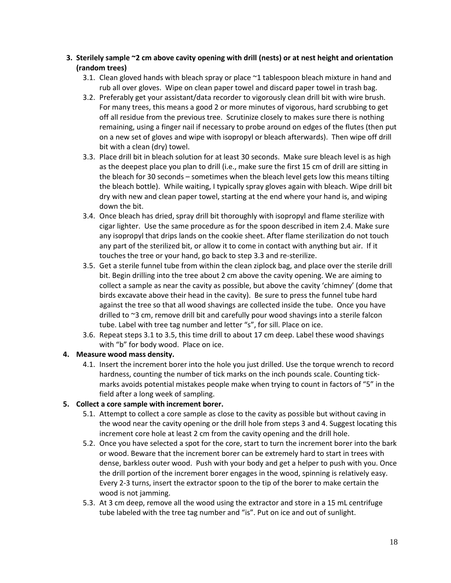### **3. Sterilely sample ~2 cm above cavity opening with drill (nests) or at nest height and orientation (random trees)**

- 3.1. Clean gloved hands with bleach spray or place  $\sim$ 1 tablespoon bleach mixture in hand and rub all over gloves. Wipe on clean paper towel and discard paper towel in trash bag.
- 3.2. Preferably get your assistant/data recorder to vigorously clean drill bit with wire brush. For many trees, this means a good 2 or more minutes of vigorous, hard scrubbing to get off all residue from the previous tree. Scrutinize closely to makes sure there is nothing remaining, using a finger nail if necessary to probe around on edges of the flutes (then put on a new set of gloves and wipe with isopropyl or bleach afterwards). Then wipe off drill bit with a clean (dry) towel.
- 3.3. Place drill bit in bleach solution for at least 30 seconds. Make sure bleach level is as high as the deepest place you plan to drill (i.e., make sure the first 15 cm of drill are sitting in the bleach for 30 seconds – sometimes when the bleach level gets low this means tilting the bleach bottle). While waiting, I typically spray gloves again with bleach. Wipe drill bit dry with new and clean paper towel, starting at the end where your hand is, and wiping down the bit.
- 3.4. Once bleach has dried, spray drill bit thoroughly with isopropyl and flame sterilize with cigar lighter. Use the same procedure as for the spoon described in item 2.4. Make sure any isopropyl that drips lands on the cookie sheet. After flame sterilization do not touch any part of the sterilized bit, or allow it to come in contact with anything but air. If it touches the tree or your hand, go back to step 3.3 and re-sterilize.
- 3.5. Get a sterile funnel tube from within the clean ziplock bag, and place over the sterile drill bit. Begin drilling into the tree about 2 cm above the cavity opening. We are aiming to collect a sample as near the cavity as possible, but above the cavity 'chimney' (dome that birds excavate above their head in the cavity). Be sure to press the funnel tube hard against the tree so that all wood shavings are collected inside the tube. Once you have drilled to ~3 cm, remove drill bit and carefully pour wood shavings into a sterile falcon tube. Label with tree tag number and letter "s", for sill. Place on ice.
- 3.6. Repeat steps 3.1 to 3.5, this time drill to about 17 cm deep. Label these wood shavings with "b" for body wood. Place on ice.

# **4. Measure wood mass density.**

4.1. Insert the increment borer into the hole you just drilled. Use the torque wrench to record hardness, counting the number of tick marks on the inch pounds scale. Counting tickmarks avoids potential mistakes people make when trying to count in factors of "5" in the field after a long week of sampling.

# **5. Collect a core sample with increment borer.**

- 5.1. Attempt to collect a core sample as close to the cavity as possible but without caving in the wood near the cavity opening or the drill hole from steps 3 and 4. Suggest locating this increment core hole at least 2 cm from the cavity opening and the drill hole.
- 5.2. Once you have selected a spot for the core, start to turn the increment borer into the bark or wood. Beware that the increment borer can be extremely hard to start in trees with dense, barkless outer wood. Push with your body and get a helper to push with you. Once the drill portion of the increment borer engages in the wood, spinning is relatively easy. Every 2-3 turns, insert the extractor spoon to the tip of the borer to make certain the wood is not jamming.
- 5.3. At 3 cm deep, remove all the wood using the extractor and store in a 15 mL centrifuge tube labeled with the tree tag number and "is". Put on ice and out of sunlight.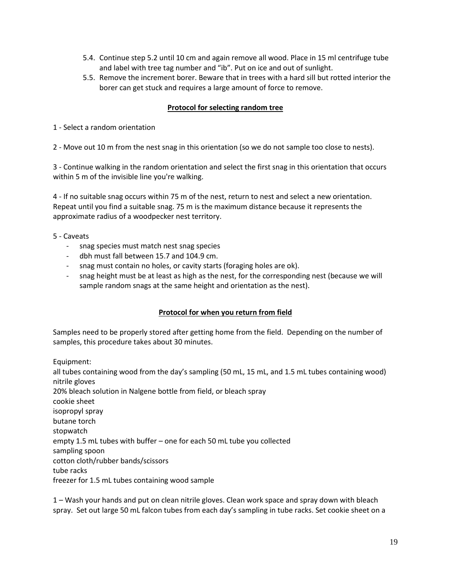- 5.4. Continue step 5.2 until 10 cm and again remove all wood. Place in 15 ml centrifuge tube and label with tree tag number and "ib". Put on ice and out of sunlight.
- 5.5. Remove the increment borer. Beware that in trees with a hard sill but rotted interior the borer can get stuck and requires a large amount of force to remove.

### **Protocol for selecting random tree**

1 - Select a random orientation

2 - Move out 10 m from the nest snag in this orientation (so we do not sample too close to nests).

3 - Continue walking in the random orientation and select the first snag in this orientation that occurs within 5 m of the invisible line you're walking.

4 - If no suitable snag occurs within 75 m of the nest, return to nest and select a new orientation. Repeat until you find a suitable snag. 75 m is the maximum distance because it represents the approximate radius of a woodpecker nest territory.

- 5 Caveats
	- snag species must match nest snag species
	- dbh must fall between 15.7 and 104.9 cm.
	- snag must contain no holes, or cavity starts (foraging holes are ok).
	- snag height must be at least as high as the nest, for the corresponding nest (because we will sample random snags at the same height and orientation as the nest).

# **Protocol for when you return from field**

Samples need to be properly stored after getting home from the field. Depending on the number of samples, this procedure takes about 30 minutes.

Equipment:

all tubes containing wood from the day's sampling (50 mL, 15 mL, and 1.5 mL tubes containing wood) nitrile gloves 20% bleach solution in Nalgene bottle from field, or bleach spray cookie sheet isopropyl spray butane torch stopwatch empty 1.5 mL tubes with buffer – one for each 50 mL tube you collected sampling spoon cotton cloth/rubber bands/scissors tube racks freezer for 1.5 mL tubes containing wood sample

1 – Wash your hands and put on clean nitrile gloves. Clean work space and spray down with bleach spray. Set out large 50 mL falcon tubes from each day's sampling in tube racks. Set cookie sheet on a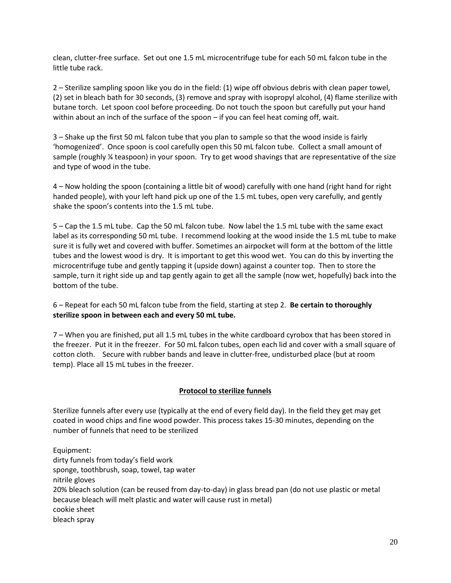clean, clutter-free surface. Set out one 1.5 mL microcentrifuge tube for each 50 mL falcon tube in the little tube rack.

2 – Sterilize sampling spoon like you do in the field: (1) wipe off obvious debris with clean paper towel, (2) set in bleach bath for 30 seconds, (3) remove and spray with isopropyl alcohol, (4) flame sterilize with butane torch. Let spoon cool before proceeding. Do not touch the spoon but carefully put your hand within about an inch of the surface of the spoon – if you can feel heat coming off, wait.

3 – Shake up the first 50 mL falcon tube that you plan to sample so that the wood inside is fairly 'homogenized'. Once spoon is cool carefully open this 50 mL falcon tube. Collect a small amount of sample (roughly ¼ teaspoon) in your spoon. Try to get wood shavings that are representative of the size and type of wood in the tube.

4 – Now holding the spoon (containing a little bit of wood) carefully with one hand (right hand for right handed people), with your left hand pick up one of the 1.5 mL tubes, open very carefully, and gently shake the spoon's contents into the 1.5 mL tube.

5 – Cap the 1.5 mL tube. Cap the 50 mL falcon tube. Now label the 1.5 mL tube with the same exact label as its corresponding 50 mL tube. I recommend looking at the wood inside the 1.5 mL tube to make sure it is fully wet and covered with buffer. Sometimes an airpocket will form at the bottom of the little tubes and the lowest wood is dry. It is important to get this wood wet. You can do this by inverting the microcentrifuge tube and gently tapping it (upside down) against a counter top. Then to store the sample, turn it right side up and tap gently again to get all the sample (now wet, hopefully) back into the bottom of the tube.

6 – Repeat for each 50 mL falcon tube from the field, starting at step 2. **Be certain to thoroughly sterilize spoon in between each and every 50 mL tube.** 

7 – When you are finished, put all 1.5 mL tubes in the white cardboard cyrobox that has been stored in the freezer. Put it in the freezer. For 50 mL falcon tubes, open each lid and cover with a small square of cotton cloth. Secure with rubber bands and leave in clutter-free, undisturbed place (but at room temp). Place all 15 mL tubes in the freezer.

# **Protocol to sterilize funnels**

Sterilize funnels after every use (typically at the end of every field day). In the field they get may get coated in wood chips and fine wood powder. This process takes 15-30 minutes, depending on the number of funnels that need to be sterilized

Equipment: dirty funnels from today's field work sponge, toothbrush, soap, towel, tap water nitrile gloves 20% bleach solution (can be reused from day-to-day) in glass bread pan (do not use plastic or metal because bleach will melt plastic and water will cause rust in metal) cookie sheet bleach spray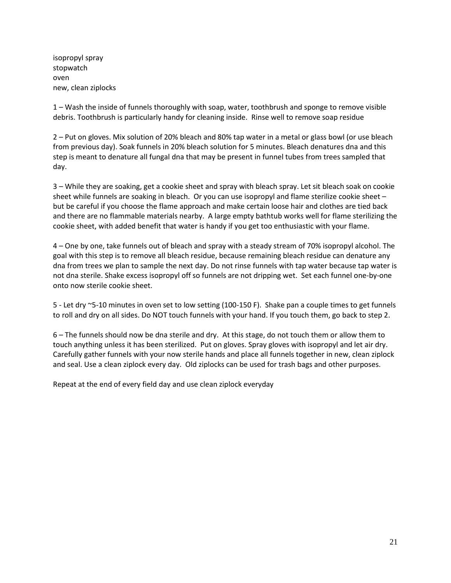isopropyl spray stopwatch oven new, clean ziplocks

1 – Wash the inside of funnels thoroughly with soap, water, toothbrush and sponge to remove visible debris. Toothbrush is particularly handy for cleaning inside. Rinse well to remove soap residue

2 – Put on gloves. Mix solution of 20% bleach and 80% tap water in a metal or glass bowl (or use bleach from previous day). Soak funnels in 20% bleach solution for 5 minutes. Bleach denatures dna and this step is meant to denature all fungal dna that may be present in funnel tubes from trees sampled that day.

3 – While they are soaking, get a cookie sheet and spray with bleach spray. Let sit bleach soak on cookie sheet while funnels are soaking in bleach. Or you can use isopropyl and flame sterilize cookie sheet – but be careful if you choose the flame approach and make certain loose hair and clothes are tied back and there are no flammable materials nearby. A large empty bathtub works well for flame sterilizing the cookie sheet, with added benefit that water is handy if you get too enthusiastic with your flame.

4 – One by one, take funnels out of bleach and spray with a steady stream of 70% isopropyl alcohol. The goal with this step is to remove all bleach residue, because remaining bleach residue can denature any dna from trees we plan to sample the next day. Do not rinse funnels with tap water because tap water is not dna sterile. Shake excess isopropyl off so funnels are not dripping wet. Set each funnel one-by-one onto now sterile cookie sheet.

5 - Let dry ~5-10 minutes in oven set to low setting (100-150 F). Shake pan a couple times to get funnels to roll and dry on all sides. Do NOT touch funnels with your hand. If you touch them, go back to step 2.

6 – The funnels should now be dna sterile and dry. At this stage, do not touch them or allow them to touch anything unless it has been sterilized. Put on gloves. Spray gloves with isopropyl and let air dry. Carefully gather funnels with your now sterile hands and place all funnels together in new, clean ziplock and seal. Use a clean ziplock every day. Old ziplocks can be used for trash bags and other purposes.

Repeat at the end of every field day and use clean ziplock everyday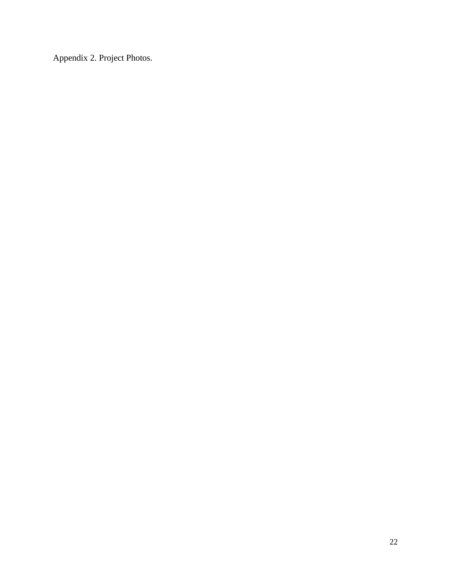Appendix 2. Project Photos.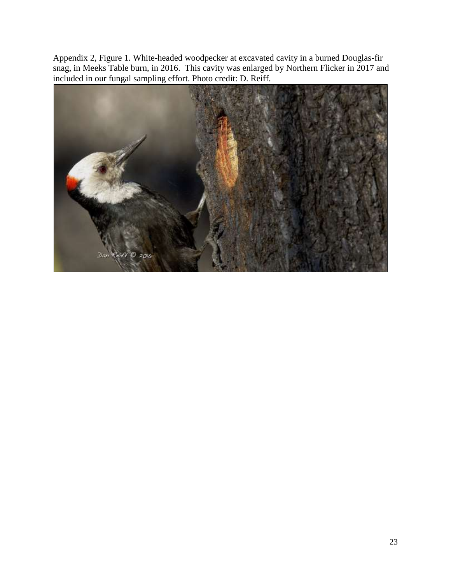Appendix 2, Figure 1. White-headed woodpecker at excavated cavity in a burned Douglas-fir snag, in Meeks Table burn, in 2016. This cavity was enlarged by Northern Flicker in 2017 and included in our fungal sampling effort. Photo credit: D. Reiff.

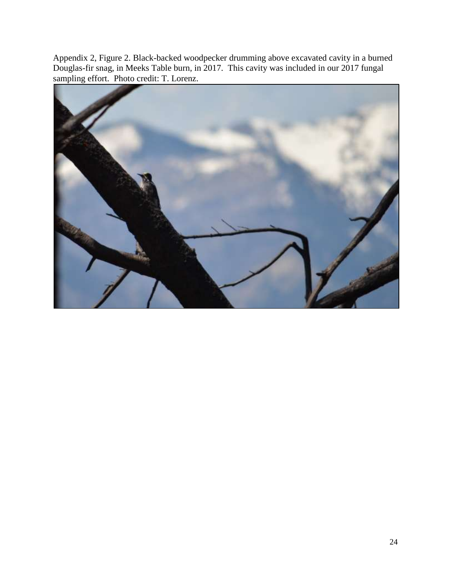Appendix 2, Figure 2. Black-backed woodpecker drumming above excavated cavity in a burned Douglas-fir snag, in Meeks Table burn, in 2017. This cavity was included in our 2017 fungal sampling effort. Photo credit: T. Lorenz.

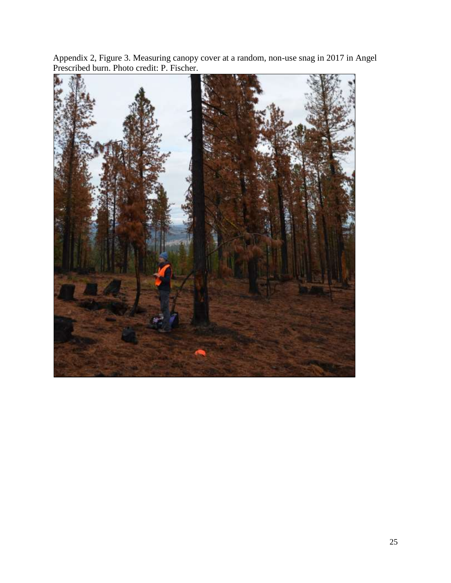

Appendix 2, Figure 3. Measuring canopy cover at a random, non-use snag in 2017 in Angel Prescribed burn. Photo credit: P. Fischer.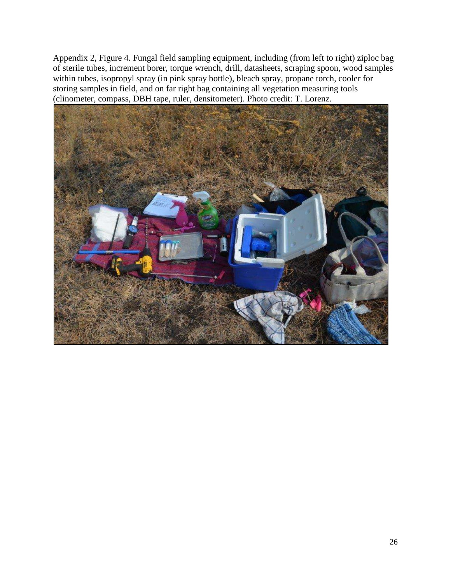Appendix 2, Figure 4. Fungal field sampling equipment, including (from left to right) ziploc bag of sterile tubes, increment borer, torque wrench, drill, datasheets, scraping spoon, wood samples within tubes, isopropyl spray (in pink spray bottle), bleach spray, propane torch, cooler for storing samples in field, and on far right bag containing all vegetation measuring tools (clinometer, compass, DBH tape, ruler, densitometer). Photo credit: T. Lorenz.

![](_page_25_Picture_1.jpeg)